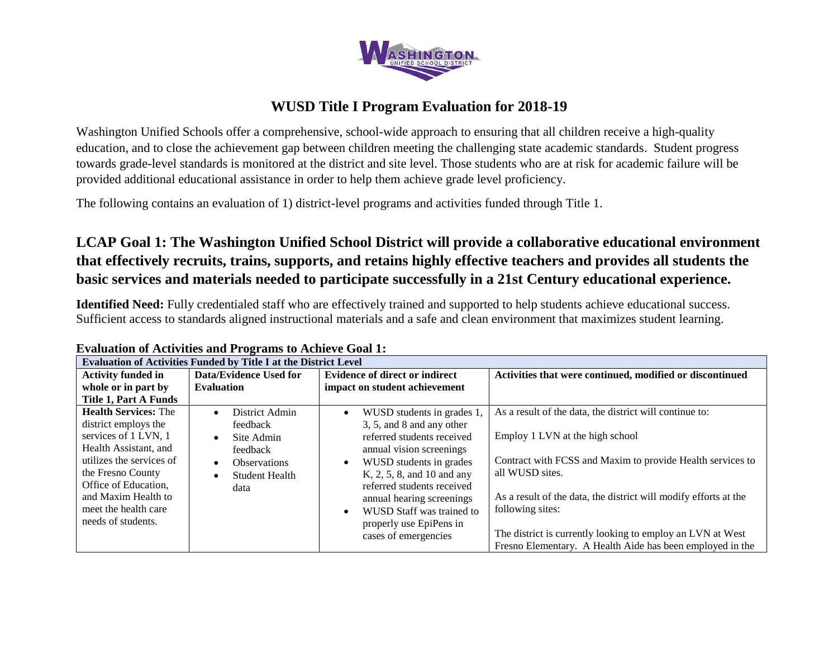

### **WUSD Title I Program Evaluation for 2018-19**

Washington Unified Schools offer a comprehensive, school-wide approach to ensuring that all children receive a high-quality education, and to close the achievement gap between children meeting the challenging state academic standards. Student progress towards grade-level standards is monitored at the district and site level. Those students who are at risk for academic failure will be provided additional educational assistance in order to help them achieve grade level proficiency.

The following contains an evaluation of 1) district-level programs and activities funded through Title 1.

# **LCAP Goal 1: The Washington Unified School District will provide a collaborative educational environment that effectively recruits, trains, supports, and retains highly effective teachers and provides all students the basic services and materials needed to participate successfully in a 21st Century educational experience.**

**Identified Need:** Fully credentialed staff who are effectively trained and supported to help students achieve educational success. Sufficient access to standards aligned instructional materials and a safe and clean environment that maximizes student learning.

| <b>Evaluation of Activities Funded by Title I at the District Level</b>                                                                                                                                                                            |                                                                                                                                        |                                                                                                                                                                                                                                                                                                                                                 |                                                                                                                                                                                                                                                                                                                                                                                                |  |  |
|----------------------------------------------------------------------------------------------------------------------------------------------------------------------------------------------------------------------------------------------------|----------------------------------------------------------------------------------------------------------------------------------------|-------------------------------------------------------------------------------------------------------------------------------------------------------------------------------------------------------------------------------------------------------------------------------------------------------------------------------------------------|------------------------------------------------------------------------------------------------------------------------------------------------------------------------------------------------------------------------------------------------------------------------------------------------------------------------------------------------------------------------------------------------|--|--|
| <b>Activity funded in</b>                                                                                                                                                                                                                          | Data/Evidence Used for                                                                                                                 | <b>Evidence of direct or indirect</b>                                                                                                                                                                                                                                                                                                           | Activities that were continued, modified or discontinued                                                                                                                                                                                                                                                                                                                                       |  |  |
| whole or in part by                                                                                                                                                                                                                                | <b>Evaluation</b>                                                                                                                      | impact on student achievement                                                                                                                                                                                                                                                                                                                   |                                                                                                                                                                                                                                                                                                                                                                                                |  |  |
| Title 1, Part A Funds                                                                                                                                                                                                                              |                                                                                                                                        |                                                                                                                                                                                                                                                                                                                                                 |                                                                                                                                                                                                                                                                                                                                                                                                |  |  |
| <b>Health Services: The</b><br>district employs the<br>services of 1 LVN, 1<br>Health Assistant, and<br>utilizes the services of<br>the Fresno County<br>Office of Education,<br>and Maxim Health to<br>meet the health care<br>needs of students. | District Admin<br>$\bullet$<br>feedback<br>Site Admin<br>$\bullet$<br>feedback<br><b>Observations</b><br><b>Student Health</b><br>data | WUSD students in grades 1,<br>$\bullet$<br>3, 5, and 8 and any other<br>referred students received<br>annual vision screenings<br>WUSD students in grades<br>K, 2, 5, 8, and 10 and any<br>referred students received<br>annual hearing screenings<br>WUSD Staff was trained to<br>$\bullet$<br>properly use EpiPens in<br>cases of emergencies | As a result of the data, the district will continue to:<br>Employ 1 LVN at the high school<br>Contract with FCSS and Maxim to provide Health services to<br>all WUSD sites.<br>As a result of the data, the district will modify efforts at the<br>following sites:<br>The district is currently looking to employ an LVN at West<br>Fresno Elementary. A Health Aide has been employed in the |  |  |

#### **Evaluation of Activities and Programs to Achieve Goal 1:**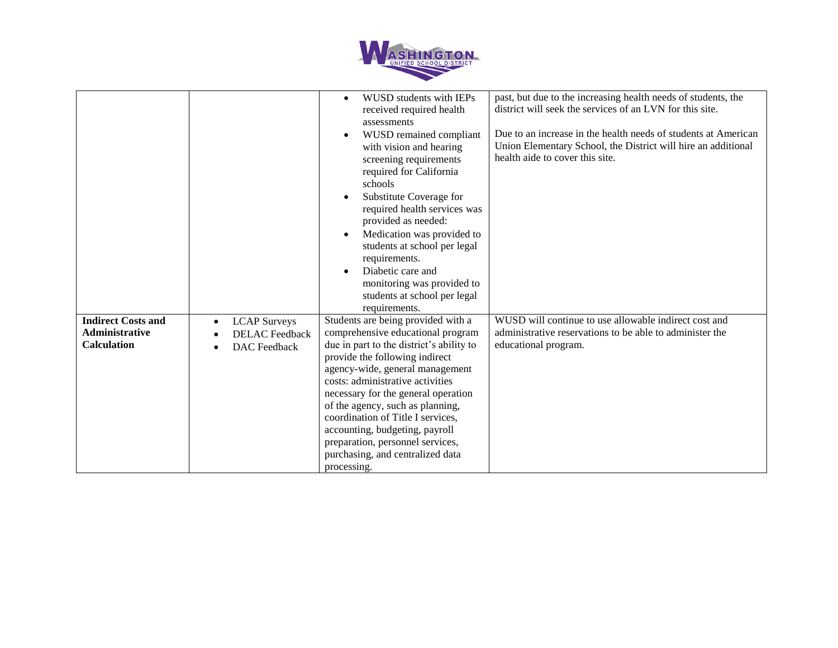

|                                                                          |                                                                     | WUSD students with IEPs<br>received required health<br>assessments<br>WUSD remained compliant<br>with vision and hearing<br>screening requirements<br>required for California<br>schools<br>Substitute Coverage for<br>required health services was<br>provided as needed:<br>Medication was provided to<br>students at school per legal<br>requirements.<br>Diabetic care and<br>monitoring was provided to<br>students at school per legal<br>requirements.         | past, but due to the increasing health needs of students, the<br>district will seek the services of an LVN for this site.<br>Due to an increase in the health needs of students at American<br>Union Elementary School, the District will hire an additional<br>health aide to cover this site. |
|--------------------------------------------------------------------------|---------------------------------------------------------------------|-----------------------------------------------------------------------------------------------------------------------------------------------------------------------------------------------------------------------------------------------------------------------------------------------------------------------------------------------------------------------------------------------------------------------------------------------------------------------|-------------------------------------------------------------------------------------------------------------------------------------------------------------------------------------------------------------------------------------------------------------------------------------------------|
| <b>Indirect Costs and</b><br><b>Administrative</b><br><b>Calculation</b> | <b>LCAP</b> Surveys<br><b>DELAC</b> Feedback<br><b>DAC</b> Feedback | Students are being provided with a<br>comprehensive educational program<br>due in part to the district's ability to<br>provide the following indirect<br>agency-wide, general management<br>costs: administrative activities<br>necessary for the general operation<br>of the agency, such as planning,<br>coordination of Title I services,<br>accounting, budgeting, payroll<br>preparation, personnel services,<br>purchasing, and centralized data<br>processing. | WUSD will continue to use allowable indirect cost and<br>administrative reservations to be able to administer the<br>educational program.                                                                                                                                                       |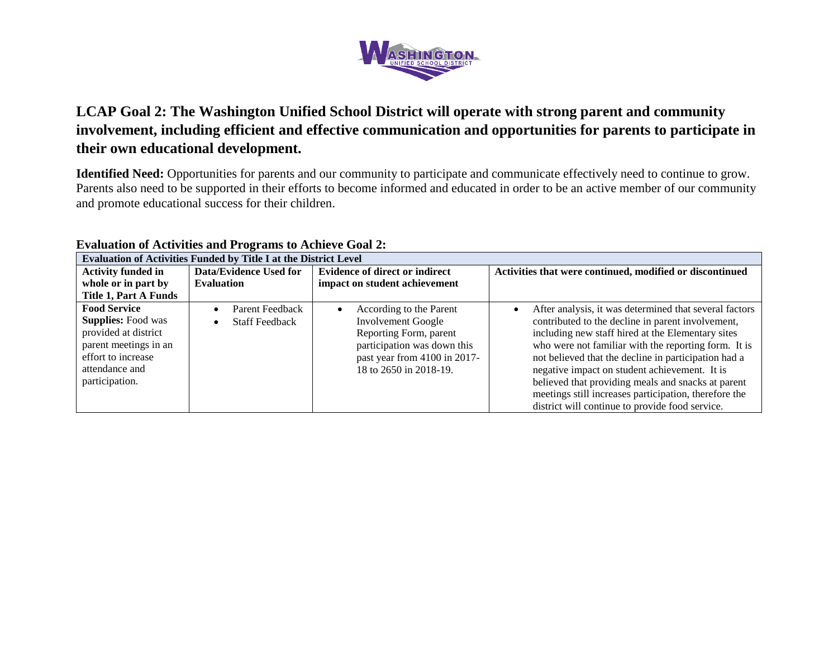

# **LCAP Goal 2: The Washington Unified School District will operate with strong parent and community involvement, including efficient and effective communication and opportunities for parents to participate in their own educational development.**

**Identified Need:** Opportunities for parents and our community to participate and communicate effectively need to continue to grow. Parents also need to be supported in their efforts to become informed and educated in order to be an active member of our community and promote educational success for their children.

| Evaluation of Activities Funded by Title I at the District Level                                                                                            |                                          |                                                                                                                                                                                      |                                                                                                                                                                                                                                                                                                                                                                                                                                                                                                     |  |
|-------------------------------------------------------------------------------------------------------------------------------------------------------------|------------------------------------------|--------------------------------------------------------------------------------------------------------------------------------------------------------------------------------------|-----------------------------------------------------------------------------------------------------------------------------------------------------------------------------------------------------------------------------------------------------------------------------------------------------------------------------------------------------------------------------------------------------------------------------------------------------------------------------------------------------|--|
| <b>Activity funded in</b>                                                                                                                                   | Data/Evidence Used for                   | <b>Evidence of direct or indirect</b>                                                                                                                                                | Activities that were continued, modified or discontinued                                                                                                                                                                                                                                                                                                                                                                                                                                            |  |
| whole or in part by                                                                                                                                         | <b>Evaluation</b>                        | impact on student achievement                                                                                                                                                        |                                                                                                                                                                                                                                                                                                                                                                                                                                                                                                     |  |
| <b>Title 1, Part A Funds</b>                                                                                                                                |                                          |                                                                                                                                                                                      |                                                                                                                                                                                                                                                                                                                                                                                                                                                                                                     |  |
| <b>Food Service</b><br><b>Supplies:</b> Food was<br>provided at district<br>parent meetings in an<br>effort to increase<br>attendance and<br>participation. | Parent Feedback<br><b>Staff Feedback</b> | According to the Parent<br>$\bullet$<br><b>Involvement Google</b><br>Reporting Form, parent<br>participation was down this<br>past year from 4100 in 2017-<br>18 to 2650 in 2018-19. | After analysis, it was determined that several factors<br>contributed to the decline in parent involvement,<br>including new staff hired at the Elementary sites<br>who were not familiar with the reporting form. It is<br>not believed that the decline in participation had a<br>negative impact on student achievement. It is<br>believed that providing meals and snacks at parent<br>meetings still increases participation, therefore the<br>district will continue to provide food service. |  |

### **Evaluation of Activities and Programs to Achieve Goal 2:**